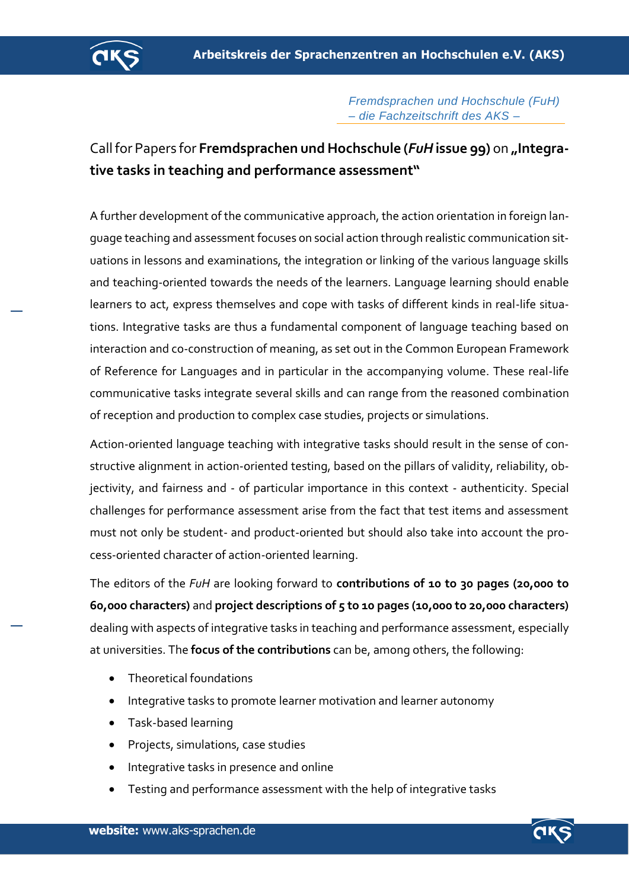

## *Fremdsprachen und Hochschule (FuH) – die Fachzeitschrift des AKS –*

## Call for Papers for **Fremdsprachen und Hochschule (***FuH***issue 99)** on **"Integrative tasks in teaching and performance assessment"**

A further development of the communicative approach, the action orientation in foreign language teaching and assessment focuses on social action through realistic communication situations in lessons and examinations, the integration or linking of the various language skills and teaching-oriented towards the needs of the learners. Language learning should enable learners to act, express themselves and cope with tasks of different kinds in real-life situations. Integrative tasks are thus a fundamental component of language teaching based on interaction and co-construction of meaning, as set out in the Common European Framework of Reference for Languages and in particular in the accompanying volume. These real-life communicative tasks integrate several skills and can range from the reasoned combination of reception and production to complex case studies, projects or simulations.

Action-oriented language teaching with integrative tasks should result in the sense of constructive alignment in action-oriented testing, based on the pillars of validity, reliability, objectivity, and fairness and - of particular importance in this context - authenticity. Special challenges for performance assessment arise from the fact that test items and assessment must not only be student- and product-oriented but should also take into account the process-oriented character of action-oriented learning.

The editors of the *FuH* are looking forward to **contributions of 10 to 30 pages (20,000 to 60,000 characters)** and **project descriptions of 5 to 10 pages (10,000 to 20,000 characters)** dealing with aspects of integrative tasks in teaching and performance assessment, especially at universities. The **focus of the contributions** can be, among others, the following:

- Theoretical foundations
- Integrative tasks to promote learner motivation and learner autonomy
- Task-based learning
- Projects, simulations, case studies
- Integrative tasks in presence and online
- Testing and performance assessment with the help of integrative tasks